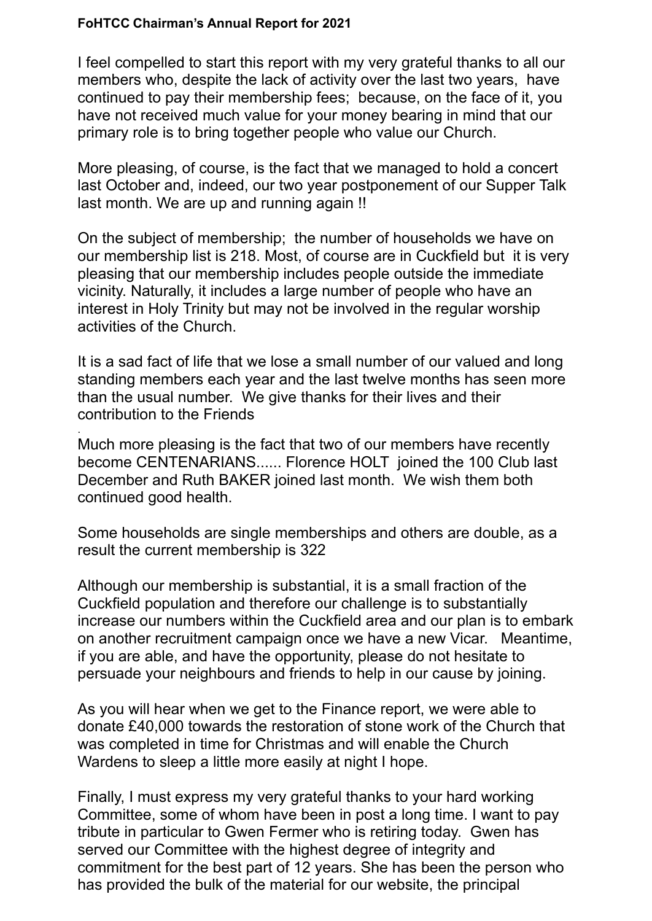## **FoHTCC Chairman's Annual Report for 2021**

.

I feel compelled to start this report with my very grateful thanks to all our members who, despite the lack of activity over the last two years, have continued to pay their membership fees; because, on the face of it, you have not received much value for your money bearing in mind that our primary role is to bring together people who value our Church.

More pleasing, of course, is the fact that we managed to hold a concert last October and, indeed, our two year postponement of our Supper Talk last month. We are up and running again !!

On the subject of membership; the number of households we have on our membership list is 218. Most, of course are in Cuckfield but it is very pleasing that our membership includes people outside the immediate vicinity. Naturally, it includes a large number of people who have an interest in Holy Trinity but may not be involved in the regular worship activities of the Church.

It is a sad fact of life that we lose a small number of our valued and long standing members each year and the last twelve months has seen more than the usual number. We give thanks for their lives and their contribution to the Friends

Much more pleasing is the fact that two of our members have recently become CENTENARIANS...... Florence HOLT joined the 100 Club last December and Ruth BAKER joined last month. We wish them both continued good health.

Some households are single memberships and others are double, as a result the current membership is 322

Although our membership is substantial, it is a small fraction of the Cuckfield population and therefore our challenge is to substantially increase our numbers within the Cuckfield area and our plan is to embark on another recruitment campaign once we have a new Vicar. Meantime, if you are able, and have the opportunity, please do not hesitate to persuade your neighbours and friends to help in our cause by joining.

As you will hear when we get to the Finance report, we were able to donate £40,000 towards the restoration of stone work of the Church that was completed in time for Christmas and will enable the Church Wardens to sleep a little more easily at night I hope.

Finally, I must express my very grateful thanks to your hard working Committee, some of whom have been in post a long time. I want to pay tribute in particular to Gwen Fermer who is retiring today. Gwen has served our Committee with the highest degree of integrity and commitment for the best part of 12 years. She has been the person who has provided the bulk of the material for our website, the principal